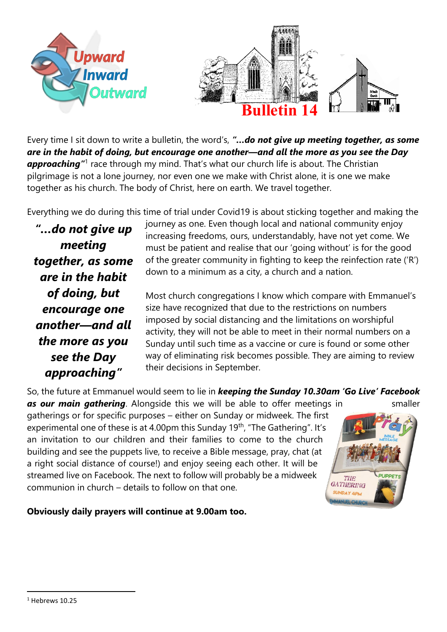

Every time I sit down to write a bulletin, the word's, *"…do not give up meeting together, as some are in the habit of doing, but encourage one another—and all the more as you see the Day*  approaching<sup>"1</sup> race through my mind. That's what our church life is about. The Christian pilgrimage is not a lone journey, nor even one we make with Christ alone, it is one we make together as his church. The body of Christ, here on earth. We travel together.

Everything we do during this time of trial under Covid19 is about sticking together and making the

*"…do not give up meeting together, as some are in the habit of doing, but encourage one another—and all the more as you see the Day approaching"*

journey as one. Even though local and national community enjoy increasing freedoms, ours, understandably, have not yet come. We must be patient and realise that our 'going without' is for the good of the greater community in fighting to keep the reinfection rate ('R') down to a minimum as a city, a church and a nation.

Most church congregations I know which compare with Emmanuel's size have recognized that due to the restrictions on numbers imposed by social distancing and the limitations on worshipful activity, they will not be able to meet in their normal numbers on a Sunday until such time as a vaccine or cure is found or some other way of eliminating risk becomes possible. They are aiming to review their decisions in September.

So, the future at Emmanuel would seem to lie in *keeping the Sunday 10.30am 'Go Live' Facebook*  **as our main gathering**. Alongside this we will be able to offer meetings in smaller gatherings or for specific purposes – either on Sunday or midweek. The first experimental one of these is at 4.00pm this Sunday 19<sup>th</sup>, "The Gathering". It's an invitation to our children and their families to come to the church building and see the puppets live, to receive a Bible message, pray, chat (at a right social distance of course!) and enjoy seeing each other. It will be streamed live on Facebook. The next to follow will probably be a midweek THE GATHERING communion in church – details to follow on that one.



**Obviously daily prayers will continue at 9.00am too.**

 $1$  Hebrews 10.25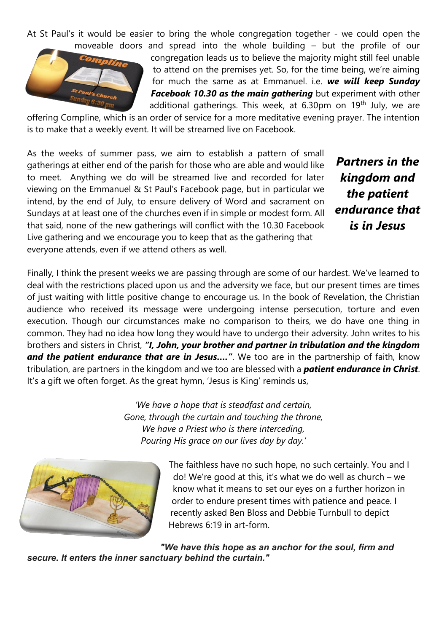At St Paul's it would be easier to bring the whole congregation together - we could open the moveable doors and spread into the whole building – but the profile of our



congregation leads us to believe the majority might still feel unable to attend on the premises yet. So, for the time being, we're aiming for much the same as at Emmanuel. i.e. *we will keep Sunday Facebook 10.30 as the main gathering* but experiment with other additional gatherings. This week, at 6.30pm on 19<sup>th</sup> July, we are

offering Compline, which is an order of service for a more meditative evening prayer. The intention is to make that a weekly event. It will be streamed live on Facebook.

As the weeks of summer pass, we aim to establish a pattern of small gatherings at either end of the parish for those who are able and would like to meet. Anything we do will be streamed live and recorded for later viewing on the Emmanuel & St Paul's Facebook page, but in particular we intend, by the end of July, to ensure delivery of Word and sacrament on Sundays at at least one of the churches even if in simple or modest form. All that said, none of the new gatherings will conflict with the 10.30 Facebook Live gathering and we encourage you to keep that as the gathering that everyone attends, even if we attend others as well.

*Partners in the kingdom and the patient endurance that is in Jesus*

Finally, I think the present weeks we are passing through are some of our hardest. We've learned to deal with the restrictions placed upon us and the adversity we face, but our present times are times of just waiting with little positive change to encourage us. In the book of Revelation, the Christian audience who received its message were undergoing intense persecution, torture and even execution. Though our circumstances make no comparison to theirs, we do have one thing in common. They had no idea how long they would have to undergo their adversity. John writes to his brothers and sisters in Christ, *"I, John, your brother and partner in tribulation and the kingdom*  and the patient endurance that are in Jesus....". We too are in the partnership of faith, know tribulation, are partners in the kingdom and we too are blessed with a *patient endurance in Christ*. It's a gift we often forget. As the great hymn, 'Jesus is King' reminds us,

> *'We have a hope that is steadfast and certain, Gone, through the curtain and touching the throne, We have a Priest who is there interceding, Pouring His grace on our lives day by day.'*



The faithless have no such hope, no such certainly. You and I do! We're good at this, it's what we do well as church – we know what it means to set our eyes on a further horizon in order to endure present times with patience and peace. I recently asked Ben Bloss and Debbie Turnbull to depict Hebrews 6:19 in art-form.

*"We have this hope as an anchor for the soul, firm and secure. It enters the inner sanctuary behind the curtain."*